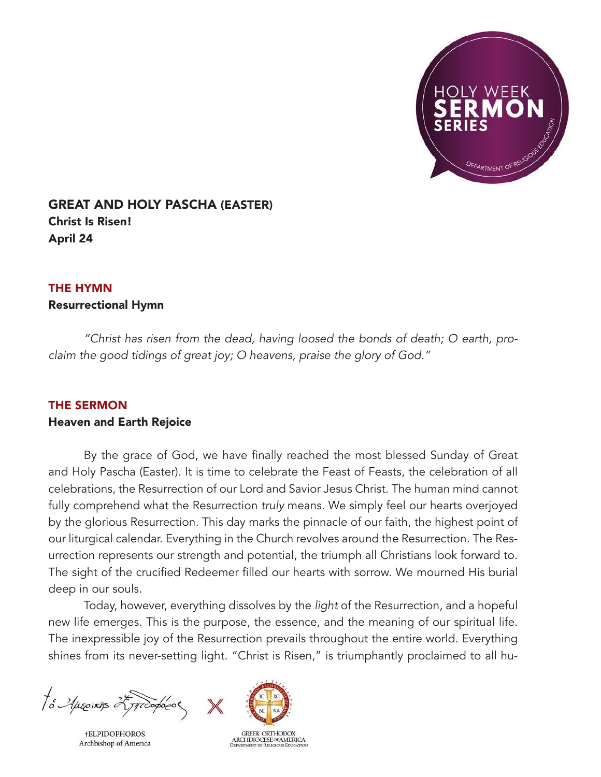

# GREAT AND HOLY PASCHA (EASTER) Christ Is Risen! April 24

## THE HYMN

## Resurrectional Hymn

*"Christ has risen from the dead, having loosed the bonds of death; O earth, proclaim the good tidings of great joy; O heavens, praise the glory of God."*

## THE SERMON

## Heaven and Earth Rejoice

 By the grace of God, we have finally reached the most blessed Sunday of Great and Holy Pascha (Easter). It is time to celebrate the Feast of Feasts, the celebration of all celebrations, the Resurrection of our Lord and Savior Jesus Christ. The human mind cannot fully comprehend what the Resurrection *truly* means. We simply feel our hearts overjoyed by the glorious Resurrection. This day marks the pinnacle of our faith, the highest point of our liturgical calendar. Everything in the Church revolves around the Resurrection. The Resurrection represents our strength and potential, the triumph all Christians look forward to. The sight of the crucified Redeemer filled our hearts with sorrow. We mourned His burial deep in our souls.

 Today, however, everything dissolves by the *light* of the Resurrection, and a hopeful new life emerges. This is the purpose, the essence, and the meaning of our spiritual life. The inexpressible joy of the Resurrection prevails throughout the entire world. Everything shines from its never-setting light. "Christ is Risen," is triumphantly proclaimed to all hu-

to Auseinas 25 proopedo

**†ELPIDOPHOROS** Archbishop of America